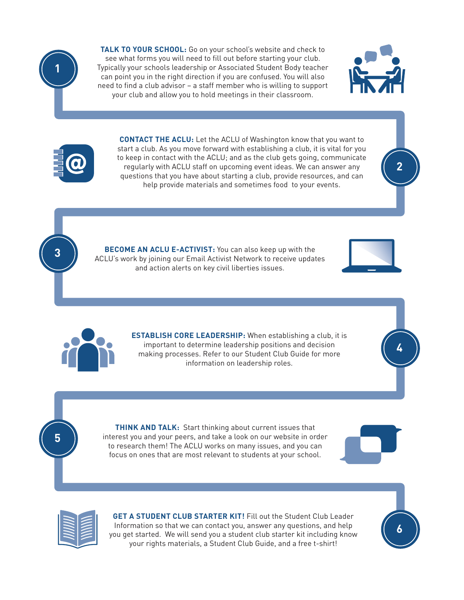

**3**

**5**

**TALK TO YOUR SCHOOL:** Go on your school's website and check to see what forms you will need to fill out before starting your club. Typically your schools leadership or Associated Student Body teacher can point you in the right direction if you are confused. You will also need to find a club advisor – a staff member who is willing to support your club and allow you to hold meetings in their classroom.



**2**

**CONTACT THE ACLU:** Let the ACLU of Washington know that you want to start a club. As you move forward with establishing a club, it is vital for you to keep in contact with the ACLU; and as the club gets going, communicate regularly with ACLU staff on upcoming event ideas. We can answer any questions that you have about starting a club, provide resources, and can help provide materials and sometimes food to your events.

**BECOME AN ACLU E-ACTIVIST:** You can also keep up with the ACLU's work by joining our Email Activist Network to receive updates and action alerts on key civil liberties issues.





**ESTABLISH CORE LEADERSHIP:** When establishing a club, it is important to determine leadership positions and decision making processes. Refer to our Student Club Guide for more information on leadership roles.

**THINK AND TALK:** Start thinking about current issues that interest you and your peers, and take a look on our website in order to research them! The ACLU works on many issues, and you can focus on ones that are most relevant to students at your school.





**GET A STUDENT CLUB STARTER KIT!** Fill out the Student Club Leader Information so that we can contact you, answer any questions, and help you get started. We will send you a student club starter kit including know your rights materials, a Student Club Guide, and a free t-shirt!



**4**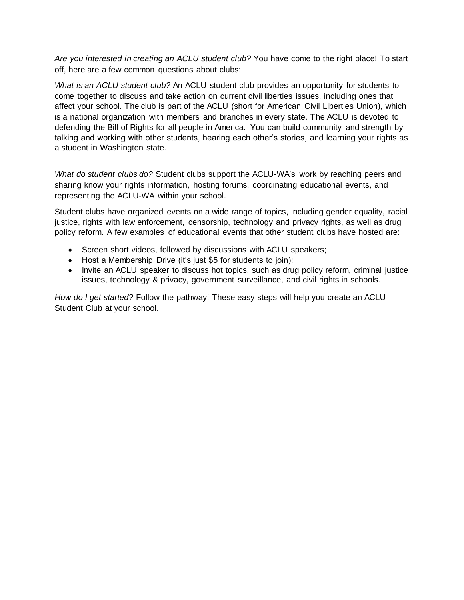*Are you interested in creating an ACLU student club?* You have come to the right place! To start off, here are a few common questions about clubs:

*What is an ACLU student club?* An ACLU student club provides an opportunity for students to come together to discuss and take action on current civil liberties issues, including ones that affect your school. The club is part of the ACLU (short for American Civil Liberties Union), which is a national organization with members and branches in every state. The ACLU is devoted to defending the Bill of Rights for all people in America. You can build community and strength by talking and working with other students, hearing each other's stories, and learning your rights as a student in Washington state.

*What do student clubs do?* Student clubs support the ACLU-WA's work by reaching peers and sharing know your rights information, hosting forums, coordinating educational events, and representing the ACLU-WA within your school.

Student clubs have organized events on a wide range of topics, including gender equality, racial justice, rights with law enforcement, censorship, technology and privacy rights, as well as drug policy reform. A few examples of educational events that other student clubs have hosted are:

- Screen short videos, followed by discussions with ACLU speakers;
- Host a Membership Drive (it's just \$5 for students to join);
- Invite an ACLU speaker to discuss hot topics, such as drug policy reform, criminal justice issues, technology & privacy, government surveillance, and civil rights in schools.

*How do I get started?* Follow the pathway! These easy steps will help you create an ACLU Student Club at your school.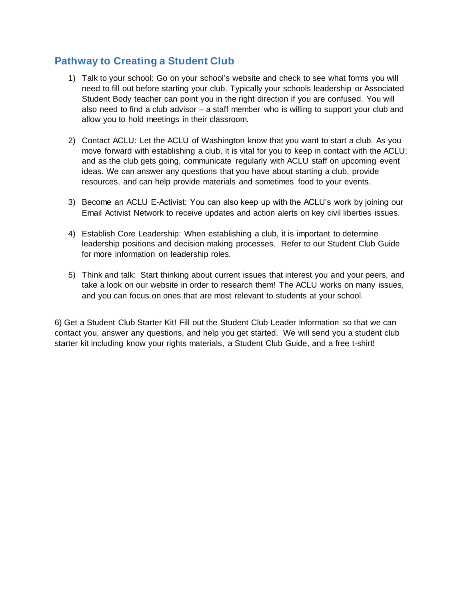## **Pathway to Creating a Student Club**

- 1) Talk to your school: Go on your school's website and check to see what forms you will need to fill out before starting your club. Typically your schools leadership or Associated Student Body teacher can point you in the right direction if you are confused. You will also need to find a club advisor – a staff member who is willing to support your club and allow you to hold meetings in their classroom.
- 2) Contact ACLU: Let the ACLU of Washington know that you want to start a club. As you move forward with establishing a club, it is vital for you to keep in contact with the ACLU; and as the club gets going, communicate regularly with ACLU staff on upcoming event ideas. We can answer any questions that you have about starting a club, provide resources, and can help provide materials and sometimes food to your events.
- 3) Become an ACLU E-Activist: You can also keep up with the ACLU's work by joining our Email Activist Network to receive updates and action alerts on key civil liberties issues.
- 4) Establish Core Leadership: When establishing a club, it is important to determine leadership positions and decision making processes. Refer to our Student Club Guide for more information on leadership roles.
- 5) Think and talk: Start thinking about current issues that interest you and your peers, and take a look on our website in order to research them! The ACLU works on many issues, and you can focus on ones that are most relevant to students at your school.

6) Get a Student Club Starter Kit! Fill out the Student Club Leader Information so that we can contact you, answer any questions, and help you get started. We will send you a student club starter kit including know your rights materials, a Student Club Guide, and a free t-shirt!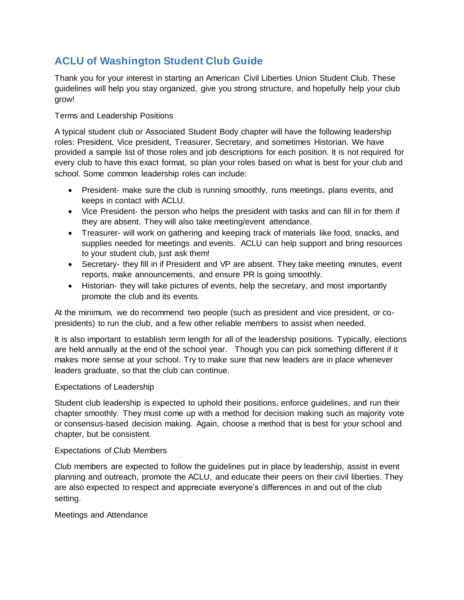# **ACLU of Washington Student Club Guide**

Thank you for your interest in starting an American Civil Liberties Union Student Club. These guidelines will help you stay organized, give you strong structure, and hopefully help your club grow!

Terms and Leadership Positions

A typical student club or Associated Student Body chapter will have the following leadership roles: President, Vice president, Treasurer, Secretary, and sometimes Historian. We have provided a sample list of those roles and job descriptions for each position. It is not required for every club to have this exact format, so plan your roles based on what is best for your club and school. Some common leadership roles can include:

- President- make sure the club is running smoothly, runs meetings, plans events, and keeps in contact with ACLU.
- Vice President- the person who helps the president with tasks and can fill in for them if they are absent. They will also take meeting/event attendance.
- Treasurer- will work on gathering and keeping track of materials like food, snacks, and supplies needed for meetings and events. ACLU can help support and bring resources to your student club, just ask them!
- Secretary- they fill in if President and VP are absent. They take meeting minutes, event reports, make announcements, and ensure PR is going smoothly.
- Historian- they will take pictures of events, help the secretary, and most importantly promote the club and its events.

At the minimum, we do recommend two people (such as president and vice president, or copresidents) to run the club, and a few other reliable members to assist when needed.

It is also important to establish term length for all of the leadership positions. Typically, elections are held annually at the end of the school year. Though you can pick something different if it makes more sense at your school. Try to make sure that new leaders are in place whenever leaders graduate, so that the club can continue.

#### Expectations of Leadership

Student club leadership is expected to uphold their positions, enforce guidelines, and run their chapter smoothly. They must come up with a method for decision making such as majority vote or consensus-based decision making. Again, choose a method that is best for your school and chapter, but be consistent.

#### Expectations of Club Members

Club members are expected to follow the guidelines put in place by leadership, assist in event planning and outreach, promote the ACLU, and educate their peers on their civil liberties. They are also expected to respect and appreciate everyone's differences in and out of the club setting.

Meetings and Attendance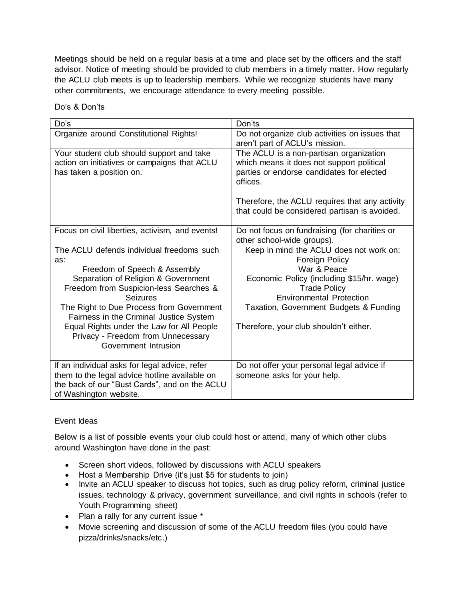Meetings should be held on a regular basis at a time and place set by the officers and the staff advisor. Notice of meeting should be provided to club members in a timely matter. How regularly the ACLU club meets is up to leadership members. While we recognize students have many other commitments, we encourage attendance to every meeting possible.

| Do's                                                                                                                                                                                                                                                                                                                                                                                   | Don'ts                                                                                                                                                                                                                                                              |
|----------------------------------------------------------------------------------------------------------------------------------------------------------------------------------------------------------------------------------------------------------------------------------------------------------------------------------------------------------------------------------------|---------------------------------------------------------------------------------------------------------------------------------------------------------------------------------------------------------------------------------------------------------------------|
| Organize around Constitutional Rights!                                                                                                                                                                                                                                                                                                                                                 | Do not organize club activities on issues that<br>aren't part of ACLU's mission.                                                                                                                                                                                    |
| Your student club should support and take<br>action on initiatives or campaigns that ACLU<br>has taken a position on.                                                                                                                                                                                                                                                                  | The ACLU is a non-partisan organization<br>which means it does not support political<br>parties or endorse candidates for elected<br>offices.<br>Therefore, the ACLU requires that any activity<br>that could be considered partisan is avoided.                    |
| Focus on civil liberties, activism, and events!                                                                                                                                                                                                                                                                                                                                        | Do not focus on fundraising (for charities or<br>other school-wide groups).                                                                                                                                                                                         |
| The ACLU defends individual freedoms such<br>as:<br>Freedom of Speech & Assembly<br>Separation of Religion & Government<br>Freedom from Suspicion-less Searches &<br><b>Seizures</b><br>The Right to Due Process from Government<br>Fairness in the Criminal Justice System<br>Equal Rights under the Law for All People<br>Privacy - Freedom from Unnecessary<br>Government Intrusion | Keep in mind the ACLU does not work on:<br>Foreign Policy<br>War & Peace<br>Economic Policy (including \$15/hr. wage)<br><b>Trade Policy</b><br><b>Environmental Protection</b><br>Taxation, Government Budgets & Funding<br>Therefore, your club shouldn't either. |
| If an individual asks for legal advice, refer<br>them to the legal advice hotline available on<br>the back of our "Bust Cards", and on the ACLU<br>of Washington website.                                                                                                                                                                                                              | Do not offer your personal legal advice if<br>someone asks for your help.                                                                                                                                                                                           |

### Event Ideas

Below is a list of possible events your club could host or attend, many of which other clubs around Washington have done in the past:

- Screen short videos, followed by discussions with ACLU speakers
- Host a Membership Drive (it's just \$5 for students to join)
- Invite an ACLU speaker to discuss hot topics, such as drug policy reform, criminal justice issues, technology & privacy, government surveillance, and civil rights in schools (refer to Youth Programming sheet)
- Plan a rally for any current issue \*
- Movie screening and discussion of some of the ACLU freedom files (you could have pizza/drinks/snacks/etc.)